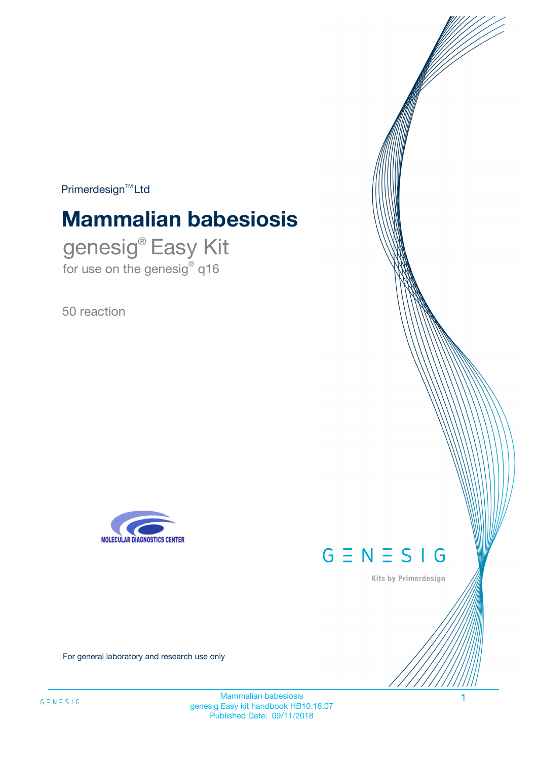$Primerdesign^{\text{TM}}Ltd$ 

# **Mammalian babesiosis**

genesig® Easy Kit for use on the genesig® q16

50 reaction





Kits by Primerdesign

For general laboratory and research use only

Mammalian babesiosis 1 genesig Easy kit handbook HB10.18.07 Published Date: 09/11/2018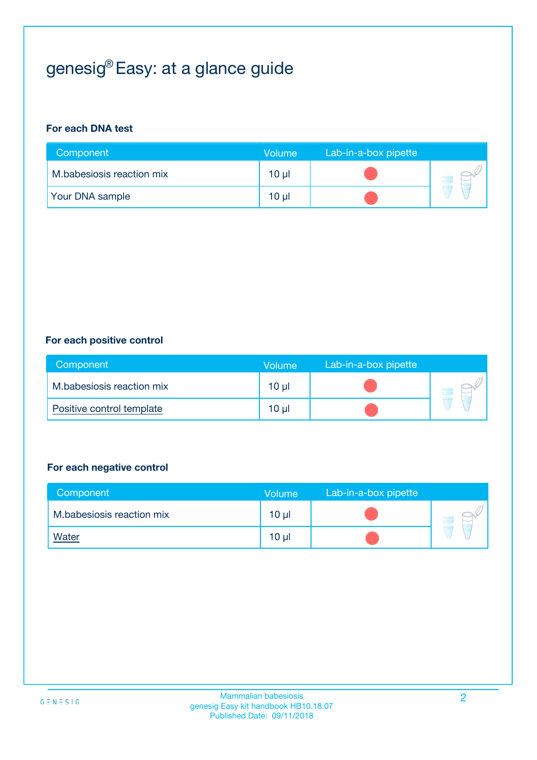# genesig® Easy: at a glance guide

#### **For each DNA test**

| Component                 | <b>Volume</b> | Lab-in-a-box pipette |  |
|---------------------------|---------------|----------------------|--|
| M.babesiosis reaction mix | 10 µl         |                      |  |
| <b>Your DNA sample</b>    | 10 µl         |                      |  |

#### **For each positive control**

| Component                 | Volume          | Lab-in-a-box pipette |  |
|---------------------------|-----------------|----------------------|--|
| M.babesiosis reaction mix | 10 <sub>µ</sub> |                      |  |
| Positive control template | 10 <sub>µ</sub> |                      |  |

#### **For each negative control**

| Component                 | <b>Volume</b>   | Lab-in-a-box pipette |  |
|---------------------------|-----------------|----------------------|--|
| M.babesiosis reaction mix | 10 <sub>µ</sub> |                      |  |
| <u>Water</u>              | 10 <sub>µ</sub> |                      |  |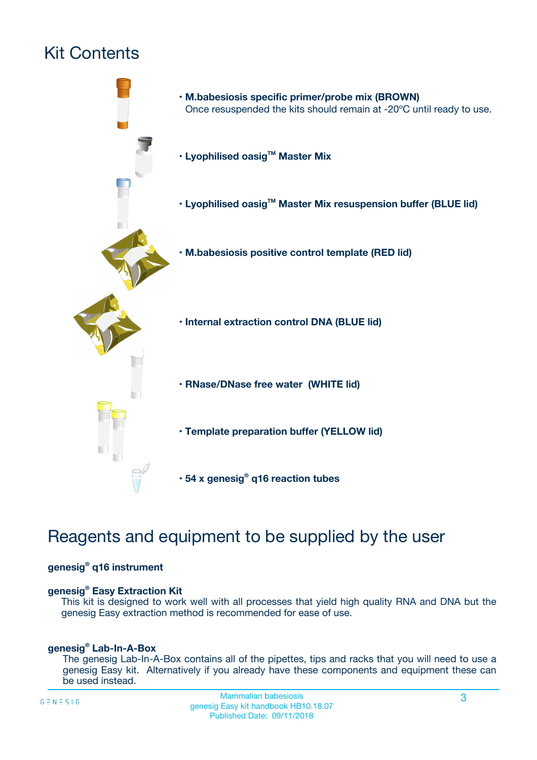# Kit Contents



# Reagents and equipment to be supplied by the user

#### **genesig® q16 instrument**

#### **genesig® Easy Extraction Kit**

This kit is designed to work well with all processes that yield high quality RNA and DNA but the genesig Easy extraction method is recommended for ease of use.

#### **genesig® Lab-In-A-Box**

The genesig Lab-In-A-Box contains all of the pipettes, tips and racks that you will need to use a genesig Easy kit. Alternatively if you already have these components and equipment these can be used instead.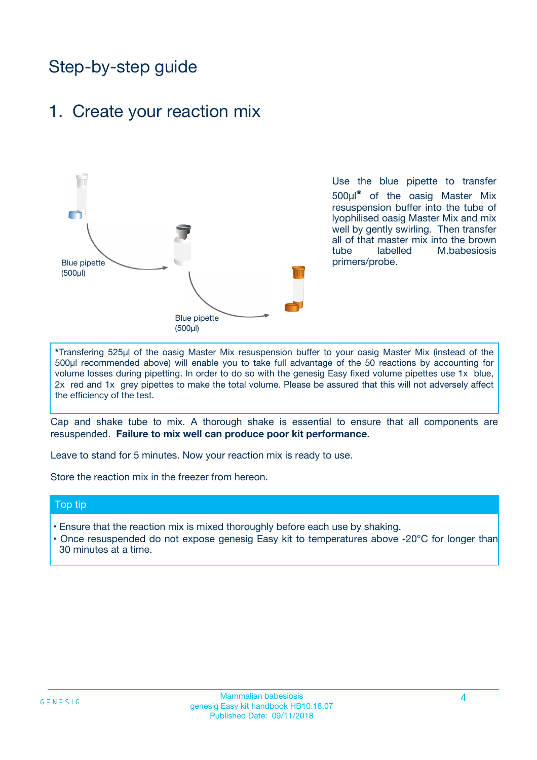# Step-by-step guide

### 1. Create your reaction mix



Use the blue pipette to transfer 500µl**\*** of the oasig Master Mix resuspension buffer into the tube of lyophilised oasig Master Mix and mix well by gently swirling. Then transfer all of that master mix into the brown tube labelled M.babesiosis primers/probe.

**\***Transfering 525µl of the oasig Master Mix resuspension buffer to your oasig Master Mix (instead of the 500µl recommended above) will enable you to take full advantage of the 50 reactions by accounting for volume losses during pipetting. In order to do so with the genesig Easy fixed volume pipettes use 1x blue, 2x red and 1x grey pipettes to make the total volume. Please be assured that this will not adversely affect the efficiency of the test.

Cap and shake tube to mix. A thorough shake is essential to ensure that all components are resuspended. **Failure to mix well can produce poor kit performance.**

Leave to stand for 5 minutes. Now your reaction mix is ready to use.

Store the reaction mix in the freezer from hereon.

#### Top tip

- Ensure that the reaction mix is mixed thoroughly before each use by shaking.
- **•** Once resuspended do not expose genesig Easy kit to temperatures above -20°C for longer than 30 minutes at a time.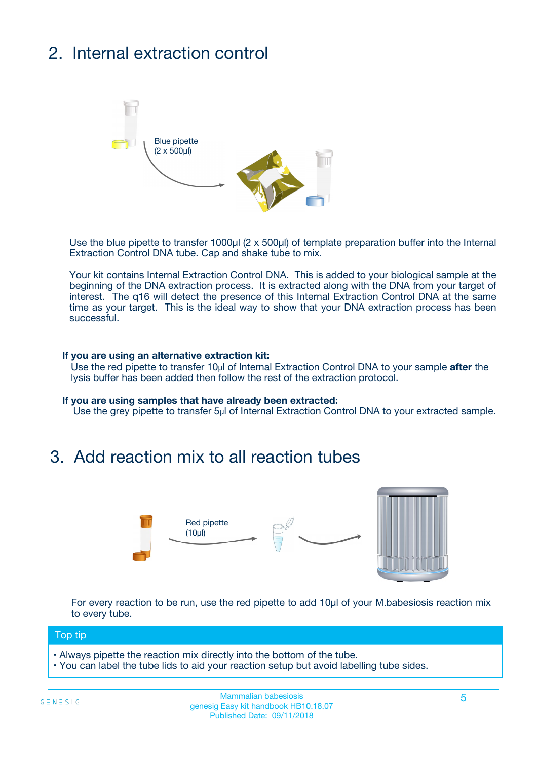# 2. Internal extraction control



Use the blue pipette to transfer 1000µl (2 x 500µl) of template preparation buffer into the Internal Extraction Control DNA tube. Cap and shake tube to mix.

Your kit contains Internal Extraction Control DNA. This is added to your biological sample at the beginning of the DNA extraction process. It is extracted along with the DNA from your target of interest. The q16 will detect the presence of this Internal Extraction Control DNA at the same time as your target. This is the ideal way to show that your DNA extraction process has been **successful.** 

#### **If you are using an alternative extraction kit:**

Use the red pipette to transfer 10µl of Internal Extraction Control DNA to your sample **after** the lysis buffer has been added then follow the rest of the extraction protocol.

#### **If you are using samples that have already been extracted:**

Use the grey pipette to transfer 5µl of Internal Extraction Control DNA to your extracted sample.

## 3. Add reaction mix to all reaction tubes



For every reaction to be run, use the red pipette to add 10µl of your M.babesiosis reaction mix to every tube.

#### Top tip

- Always pipette the reaction mix directly into the bottom of the tube.
- You can label the tube lids to aid your reaction setup but avoid labelling tube sides.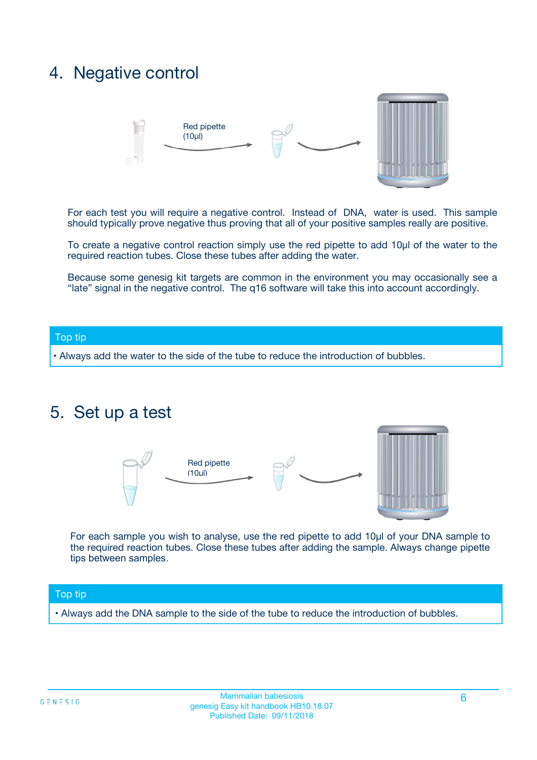## 4. Negative control



For each test you will require a negative control. Instead of DNA, water is used. This sample should typically prove negative thus proving that all of your positive samples really are positive.

To create a negative control reaction simply use the red pipette to add 10µl of the water to the required reaction tubes. Close these tubes after adding the water.

Because some genesig kit targets are common in the environment you may occasionally see a "late" signal in the negative control. The q16 software will take this into account accordingly.

#### Top tip

**•** Always add the water to the side of the tube to reduce the introduction of bubbles.

### 5. Set up a test



For each sample you wish to analyse, use the red pipette to add 10µl of your DNA sample to the required reaction tubes. Close these tubes after adding the sample. Always change pipette tips between samples.

#### Top tip

**•** Always add the DNA sample to the side of the tube to reduce the introduction of bubbles.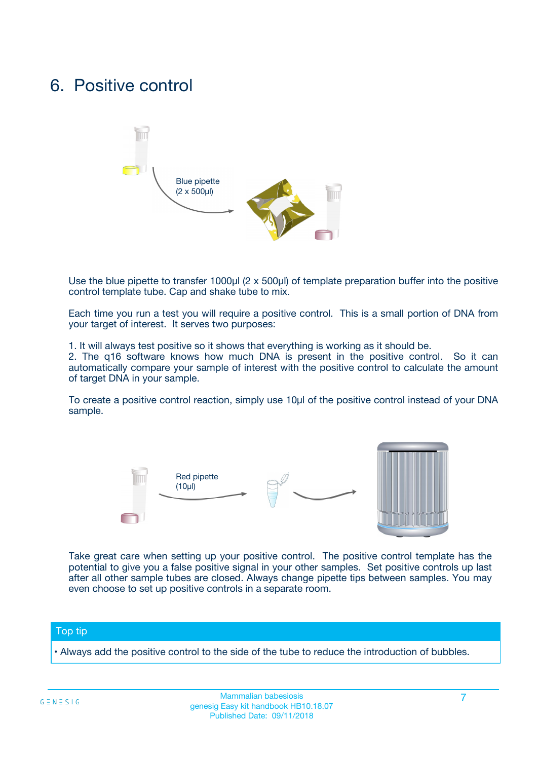## 6. Positive control



Use the blue pipette to transfer 1000µl (2 x 500µl) of template preparation buffer into the positive control template tube. Cap and shake tube to mix.

Each time you run a test you will require a positive control. This is a small portion of DNA from your target of interest. It serves two purposes:

1. It will always test positive so it shows that everything is working as it should be.

2. The q16 software knows how much DNA is present in the positive control. So it can automatically compare your sample of interest with the positive control to calculate the amount of target DNA in your sample.

To create a positive control reaction, simply use 10µl of the positive control instead of your DNA sample.



Take great care when setting up your positive control. The positive control template has the potential to give you a false positive signal in your other samples. Set positive controls up last after all other sample tubes are closed. Always change pipette tips between samples. You may even choose to set up positive controls in a separate room.

#### Top tip

**•** Always add the positive control to the side of the tube to reduce the introduction of bubbles.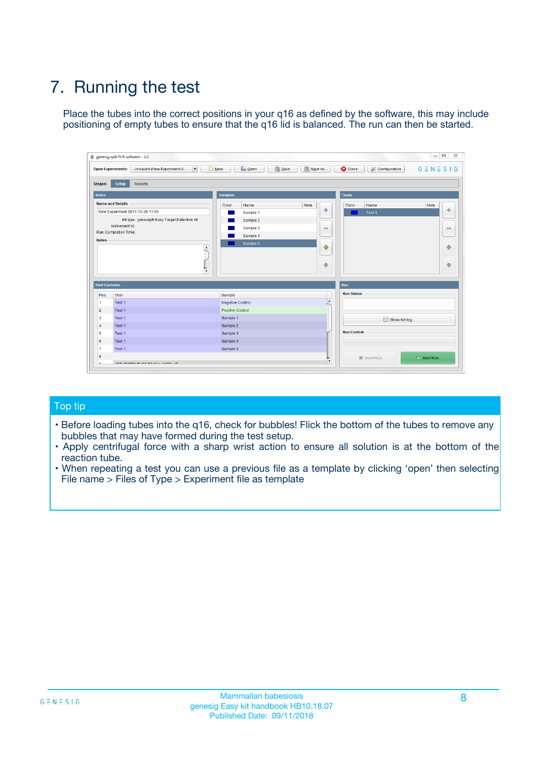# 7. Running the test

Place the tubes into the correct positions in your q16 as defined by the software, this may include positioning of empty tubes to ensure that the q16 lid is balanced. The run can then be started.

| qenesig q16 PCR software - 1.2                                               |                                   | $\Box$                                                                                          |
|------------------------------------------------------------------------------|-----------------------------------|-------------------------------------------------------------------------------------------------|
| $\vert \cdot \vert$<br>Unsaved (New Experiment 2<br><b>Open Experiments:</b> | <b>D</b> Open<br>R <sub>New</sub> | Save<br>Save As<br><b>C</b> Close<br><b>&amp; Configuration</b><br>$G \equiv N \equiv S \mid G$ |
| <b>Setup</b><br><b>Results</b><br>Stages:                                    |                                   |                                                                                                 |
| <b>Notes</b>                                                                 | <b>Samples</b>                    | <b>Tests</b>                                                                                    |
| <b>Name and Details</b>                                                      | Name<br>Color                     | Note<br>Color<br>Note<br>Name                                                                   |
| New Experiment 2017-10-26 11:06                                              | Sample 1                          | ÷<br>条<br>Test 1                                                                                |
| Kit type: genesig® Easy Target Detection kit                                 | Sample 2                          |                                                                                                 |
| Instrument Id.:                                                              | Sample 3                          | $\qquad \qquad \blacksquare$<br>$\qquad \qquad \blacksquare$                                    |
| <b>Run Completion Time:</b>                                                  | Sample 4                          |                                                                                                 |
| <b>Notes</b><br><b>A</b><br>$\overline{\mathbf v}$                           | Sample 5                          | ♦<br>4<br>÷<br>₩                                                                                |
| <b>Well Contents</b>                                                         |                                   | <b>Run</b>                                                                                      |
| Pos.<br>Test                                                                 | Sample                            | <b>Run Status</b>                                                                               |
| Test 1<br>$\blacktriangleleft$                                               | Negative Control                  | $\blacktriangle$                                                                                |
| $\overline{2}$<br>Test 1                                                     | <b>Positive Control</b>           |                                                                                                 |
| $\overline{\mathbf{3}}$<br>Test 1                                            | Sample 1                          | Show full log                                                                                   |
| Test 1<br>4                                                                  | Sample 2                          |                                                                                                 |
| 5<br>Test 1                                                                  | Sample 3                          | <b>Run Control</b>                                                                              |
| Test 1<br>6                                                                  | Sample 4                          |                                                                                                 |
| $\overline{7}$<br>Test 1                                                     | Sample 5                          |                                                                                                 |
| 8                                                                            |                                   | $\triangleright$ Start Run<br>Abort Run                                                         |
| <b>JOD FURTY TUDE TO BUILDED IN</b>                                          |                                   | $\overline{\mathbf{v}}$                                                                         |

#### Top tip

- Before loading tubes into the q16, check for bubbles! Flick the bottom of the tubes to remove any bubbles that may have formed during the test setup.
- Apply centrifugal force with a sharp wrist action to ensure all solution is at the bottom of the reaction tube.
- When repeating a test you can use a previous file as a template by clicking 'open' then selecting File name > Files of Type > Experiment file as template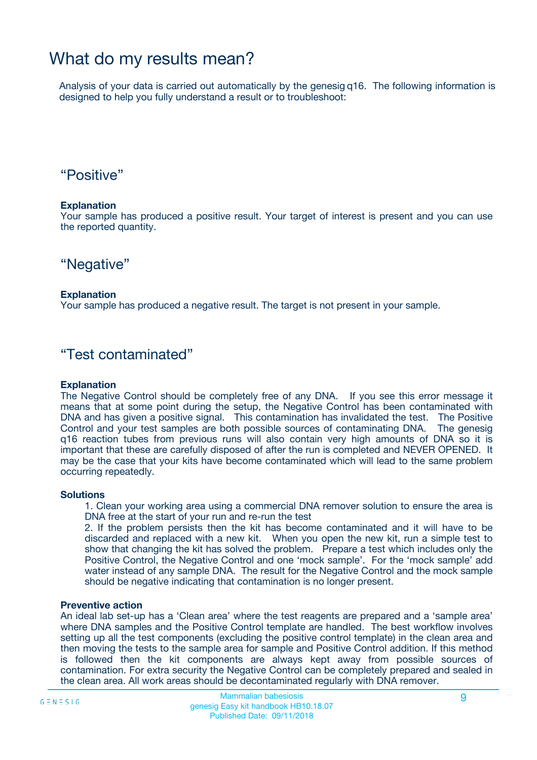## What do my results mean?

Analysis of your data is carried out automatically by the genesig q16. The following information is designed to help you fully understand a result or to troubleshoot:

### "Positive"

#### **Explanation**

Your sample has produced a positive result. Your target of interest is present and you can use the reported quantity.

"Negative"

#### **Explanation**

Your sample has produced a negative result. The target is not present in your sample.

### "Test contaminated"

#### **Explanation**

The Negative Control should be completely free of any DNA. If you see this error message it means that at some point during the setup, the Negative Control has been contaminated with DNA and has given a positive signal. This contamination has invalidated the test. The Positive Control and your test samples are both possible sources of contaminating DNA. The genesig q16 reaction tubes from previous runs will also contain very high amounts of DNA so it is important that these are carefully disposed of after the run is completed and NEVER OPENED. It may be the case that your kits have become contaminated which will lead to the same problem occurring repeatedly.

#### **Solutions**

1. Clean your working area using a commercial DNA remover solution to ensure the area is DNA free at the start of your run and re-run the test

2. If the problem persists then the kit has become contaminated and it will have to be discarded and replaced with a new kit. When you open the new kit, run a simple test to show that changing the kit has solved the problem. Prepare a test which includes only the Positive Control, the Negative Control and one 'mock sample'. For the 'mock sample' add water instead of any sample DNA. The result for the Negative Control and the mock sample should be negative indicating that contamination is no longer present.

#### **Preventive action**

An ideal lab set-up has a 'Clean area' where the test reagents are prepared and a 'sample area' where DNA samples and the Positive Control template are handled. The best workflow involves setting up all the test components (excluding the positive control template) in the clean area and then moving the tests to the sample area for sample and Positive Control addition. If this method is followed then the kit components are always kept away from possible sources of contamination. For extra security the Negative Control can be completely prepared and sealed in the clean area. All work areas should be decontaminated regularly with DNA remover.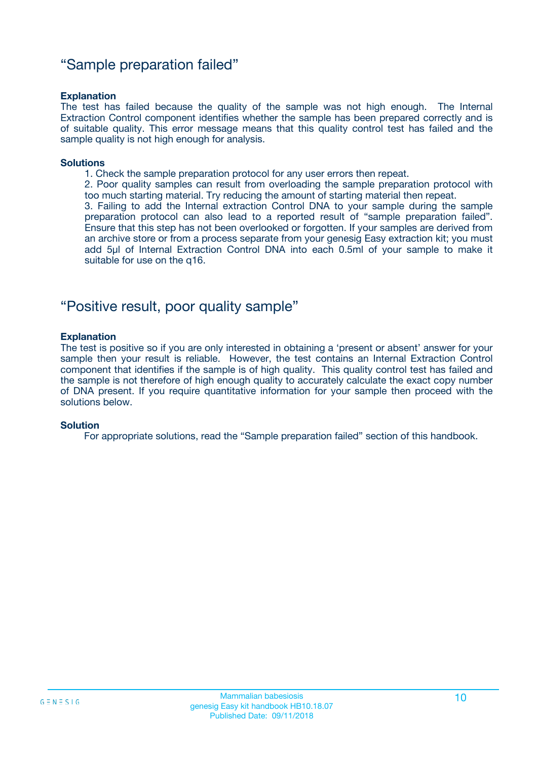### "Sample preparation failed"

#### **Explanation**

The test has failed because the quality of the sample was not high enough. The Internal Extraction Control component identifies whether the sample has been prepared correctly and is of suitable quality. This error message means that this quality control test has failed and the sample quality is not high enough for analysis.

#### **Solutions**

1. Check the sample preparation protocol for any user errors then repeat.

2. Poor quality samples can result from overloading the sample preparation protocol with too much starting material. Try reducing the amount of starting material then repeat.

3. Failing to add the Internal extraction Control DNA to your sample during the sample preparation protocol can also lead to a reported result of "sample preparation failed". Ensure that this step has not been overlooked or forgotten. If your samples are derived from an archive store or from a process separate from your genesig Easy extraction kit; you must add 5µl of Internal Extraction Control DNA into each 0.5ml of your sample to make it suitable for use on the q16.

### "Positive result, poor quality sample"

#### **Explanation**

The test is positive so if you are only interested in obtaining a 'present or absent' answer for your sample then your result is reliable. However, the test contains an Internal Extraction Control component that identifies if the sample is of high quality. This quality control test has failed and the sample is not therefore of high enough quality to accurately calculate the exact copy number of DNA present. If you require quantitative information for your sample then proceed with the solutions below.

#### **Solution**

For appropriate solutions, read the "Sample preparation failed" section of this handbook.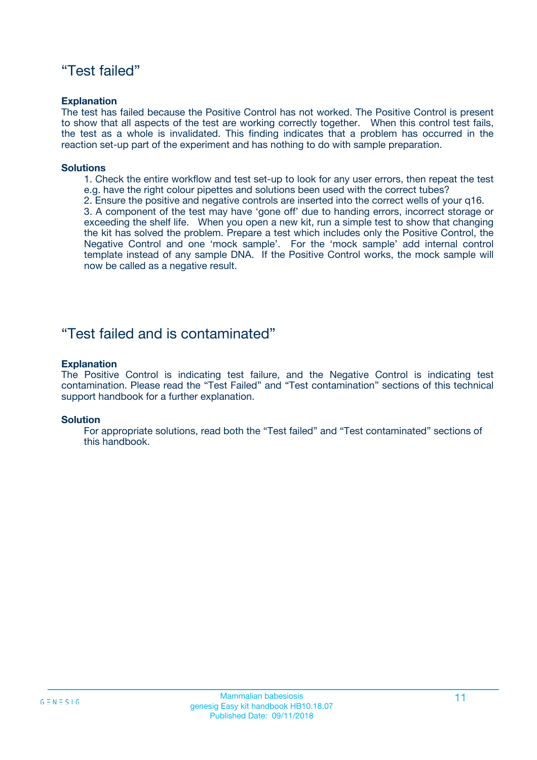### "Test failed"

#### **Explanation**

The test has failed because the Positive Control has not worked. The Positive Control is present to show that all aspects of the test are working correctly together. When this control test fails, the test as a whole is invalidated. This finding indicates that a problem has occurred in the reaction set-up part of the experiment and has nothing to do with sample preparation.

#### **Solutions**

- 1. Check the entire workflow and test set-up to look for any user errors, then repeat the test e.g. have the right colour pipettes and solutions been used with the correct tubes?
- 2. Ensure the positive and negative controls are inserted into the correct wells of your q16.

3. A component of the test may have 'gone off' due to handing errors, incorrect storage or exceeding the shelf life. When you open a new kit, run a simple test to show that changing the kit has solved the problem. Prepare a test which includes only the Positive Control, the Negative Control and one 'mock sample'. For the 'mock sample' add internal control template instead of any sample DNA. If the Positive Control works, the mock sample will now be called as a negative result.

### "Test failed and is contaminated"

#### **Explanation**

The Positive Control is indicating test failure, and the Negative Control is indicating test contamination. Please read the "Test Failed" and "Test contamination" sections of this technical support handbook for a further explanation.

#### **Solution**

For appropriate solutions, read both the "Test failed" and "Test contaminated" sections of this handbook.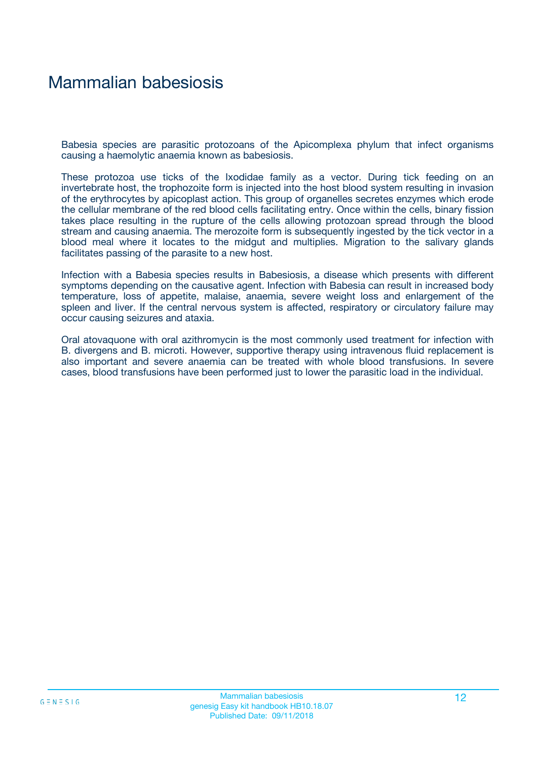## Mammalian babesiosis

Babesia species are parasitic protozoans of the Apicomplexa phylum that infect organisms causing a haemolytic anaemia known as babesiosis.

These protozoa use ticks of the Ixodidae family as a vector. During tick feeding on an invertebrate host, the trophozoite form is injected into the host blood system resulting in invasion of the erythrocytes by apicoplast action. This group of organelles secretes enzymes which erode the cellular membrane of the red blood cells facilitating entry. Once within the cells, binary fission takes place resulting in the rupture of the cells allowing protozoan spread through the blood stream and causing anaemia. The merozoite form is subsequently ingested by the tick vector in a blood meal where it locates to the midgut and multiplies. Migration to the salivary glands facilitates passing of the parasite to a new host.

Infection with a Babesia species results in Babesiosis, a disease which presents with different symptoms depending on the causative agent. Infection with Babesia can result in increased body temperature, loss of appetite, malaise, anaemia, severe weight loss and enlargement of the spleen and liver. If the central nervous system is affected, respiratory or circulatory failure may occur causing seizures and ataxia.

Oral atovaquone with oral azithromycin is the most commonly used treatment for infection with B. divergens and B. microti. However, supportive therapy using intravenous fluid replacement is also important and severe anaemia can be treated with whole blood transfusions. In severe cases, blood transfusions have been performed just to lower the parasitic load in the individual.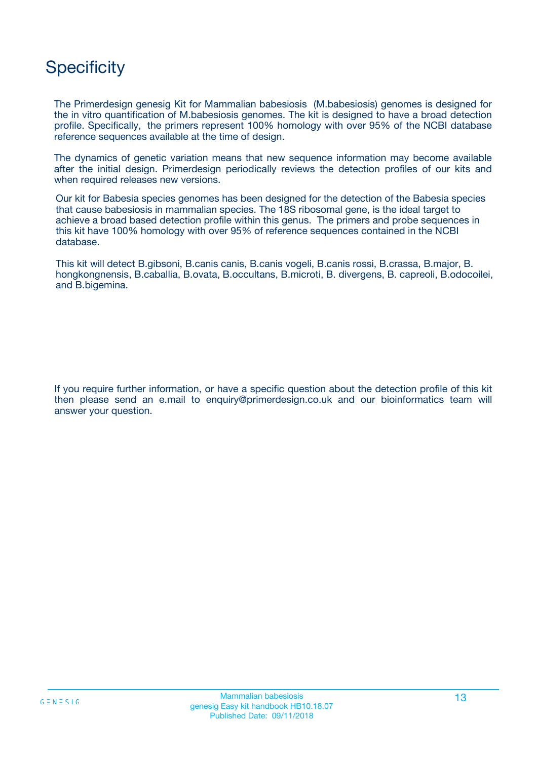# **Specificity**

The Primerdesign genesig Kit for Mammalian babesiosis (M.babesiosis) genomes is designed for the in vitro quantification of M.babesiosis genomes. The kit is designed to have a broad detection profile. Specifically, the primers represent 100% homology with over 95% of the NCBI database reference sequences available at the time of design.

The dynamics of genetic variation means that new sequence information may become available after the initial design. Primerdesign periodically reviews the detection profiles of our kits and when required releases new versions.

Our kit for Babesia species genomes has been designed for the detection of the Babesia species that cause babesiosis in mammalian species. The 18S ribosomal gene, is the ideal target to achieve a broad based detection profile within this genus. The primers and probe sequences in this kit have 100% homology with over 95% of reference sequences contained in the NCBI database.

This kit will detect B.gibsoni, B.canis canis, B.canis vogeli, B.canis rossi, B.crassa, B.major, B. hongkongnensis, B.caballia, B.ovata, B.occultans, B.microti, B. divergens, B. capreoli, B.odocoilei, and B.bigemina.

If you require further information, or have a specific question about the detection profile of this kit then please send an e.mail to enquiry@primerdesign.co.uk and our bioinformatics team will answer your question.